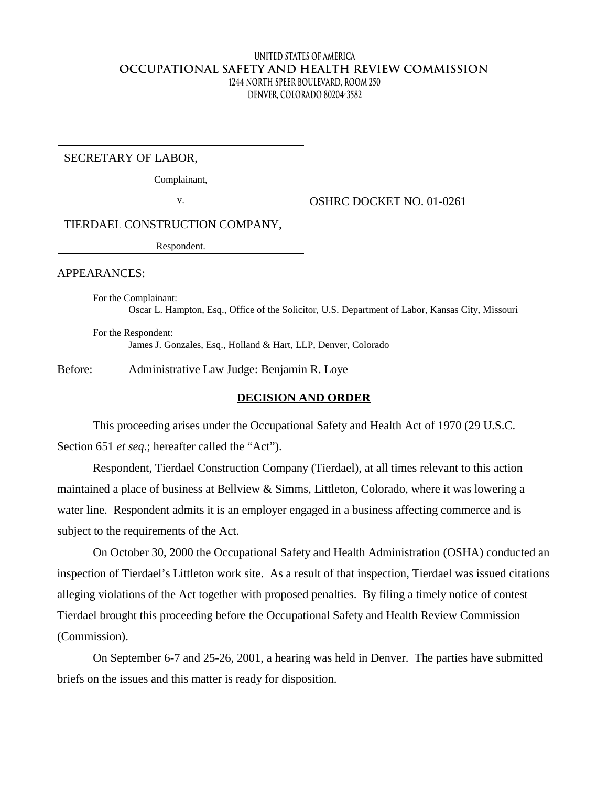### **United States of America OCCUPATIONAL SAFETY AND HEALTH REVIEW COMMISSION 1244 North Speer Boulevard, Room 250 Denver, Colorado 80204-3582**

SECRETARY OF LABOR,

Complainant,

v. Same Strategy September 10 OSHRC DOCKET NO. 01-0261

TIERDAEL CONSTRUCTION COMPANY,

Respondent.

APPEARANCES:

For the Complainant: Oscar L. Hampton, Esq., Office of the Solicitor, U.S. Department of Labor, Kansas City, Missouri

For the Respondent: James J. Gonzales, Esq., Holland & Hart, LLP, Denver, Colorado

Before: Administrative Law Judge: Benjamin R. Loye

### **DECISION AND ORDER**

This proceeding arises under the Occupational Safety and Health Act of 1970 (29 U.S.C. Section 651 *et seq.*; hereafter called the "Act").

Respondent, Tierdael Construction Company (Tierdael), at all times relevant to this action maintained a place of business at Bellview & Simms, Littleton, Colorado, where it was lowering a water line. Respondent admits it is an employer engaged in a business affecting commerce and is subject to the requirements of the Act.

On October 30, 2000 the Occupational Safety and Health Administration (OSHA) conducted an inspection of Tierdael's Littleton work site. As a result of that inspection, Tierdael was issued citations alleging violations of the Act together with proposed penalties. By filing a timely notice of contest Tierdael brought this proceeding before the Occupational Safety and Health Review Commission (Commission).

On September 6-7 and 25-26, 2001, a hearing was held in Denver. The parties have submitted briefs on the issues and this matter is ready for disposition.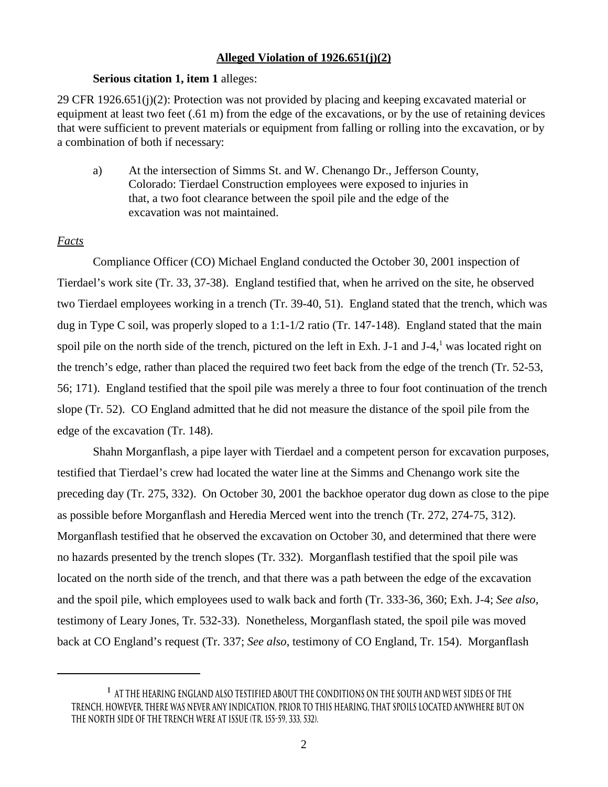### **Alleged Violation of 1926.651(j)(2)**

### **Serious citation 1, item 1** alleges:

29 CFR 1926.651(j)(2): Protection was not provided by placing and keeping excavated material or equipment at least two feet (.61 m) from the edge of the excavations, or by the use of retaining devices that were sufficient to prevent materials or equipment from falling or rolling into the excavation, or by a combination of both if necessary:

a) At the intersection of Simms St. and W. Chenango Dr., Jefferson County, Colorado: Tierdael Construction employees were exposed to injuries in that, a two foot clearance between the spoil pile and the edge of the excavation was not maintained.

### *Facts*

Compliance Officer (CO) Michael England conducted the October 30, 2001 inspection of Tierdael's work site (Tr. 33, 37-38). England testified that, when he arrived on the site, he observed two Tierdael employees working in a trench (Tr. 39-40, 51). England stated that the trench, which was dug in Type C soil, was properly sloped to a 1:1-1/2 ratio (Tr. 147-148). England stated that the main spoil pile on the north side of the trench, pictured on the left in Exh. J-1 and J-4, $<sup>1</sup>$  was located right on</sup> the trench's edge, rather than placed the required two feet back from the edge of the trench (Tr. 52-53, 56; 171). England testified that the spoil pile was merely a three to four foot continuation of the trench slope (Tr. 52). CO England admitted that he did not measure the distance of the spoil pile from the edge of the excavation (Tr. 148).

Shahn Morganflash, a pipe layer with Tierdael and a competent person for excavation purposes, testified that Tierdael's crew had located the water line at the Simms and Chenango work site the preceding day (Tr. 275, 332). On October 30, 2001 the backhoe operator dug down as close to the pipe as possible before Morganflash and Heredia Merced went into the trench (Tr. 272, 274-75, 312). Morganflash testified that he observed the excavation on October 30, and determined that there were no hazards presented by the trench slopes (Tr. 332). Morganflash testified that the spoil pile was located on the north side of the trench, and that there was a path between the edge of the excavation and the spoil pile, which employees used to walk back and forth (Tr. 333-36, 360; Exh. J-4; *See also,*  testimony of Leary Jones, Tr. 532-33). Nonetheless, Morganflash stated, the spoil pile was moved back at CO England's request (Tr. 337; *See also*, testimony of CO England, Tr. 154). Morganflash

**<sup>1</sup> At the hearing England also testified about the conditions on the south and west sides of the trench, however, there was never any indication, prior to this hearing, that spoils located anywhere but on the north side of the trench were at issue (Tr. 155-59, 333, 532).**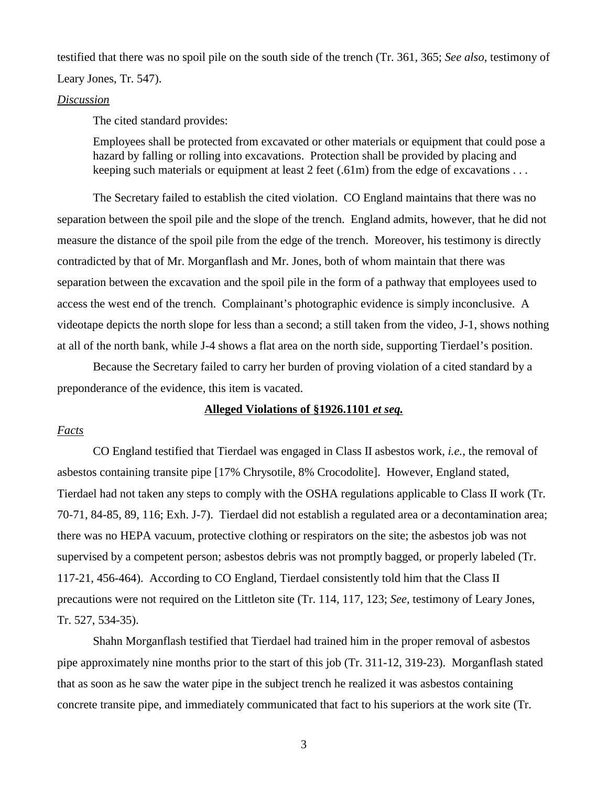testified that there was no spoil pile on the south side of the trench (Tr. 361, 365; *See also,* testimony of Leary Jones, Tr. 547).

### *Discussion*

The cited standard provides:

Employees shall be protected from excavated or other materials or equipment that could pose a hazard by falling or rolling into excavations. Protection shall be provided by placing and keeping such materials or equipment at least 2 feet (.61m) from the edge of excavations ...

The Secretary failed to establish the cited violation. CO England maintains that there was no separation between the spoil pile and the slope of the trench. England admits, however, that he did not measure the distance of the spoil pile from the edge of the trench. Moreover, his testimony is directly contradicted by that of Mr. Morganflash and Mr. Jones, both of whom maintain that there was separation between the excavation and the spoil pile in the form of a pathway that employees used to access the west end of the trench. Complainant's photographic evidence is simply inconclusive. A videotape depicts the north slope for less than a second; a still taken from the video, J-1, shows nothing at all of the north bank, while J-4 shows a flat area on the north side, supporting Tierdael's position.

Because the Secretary failed to carry her burden of proving violation of a cited standard by a preponderance of the evidence, this item is vacated.

## **Alleged Violations of §1926.1101** *et seq.*

#### *Facts*

CO England testified that Tierdael was engaged in Class II asbestos work, *i.e.*, the removal of asbestos containing transite pipe [17% Chrysotile, 8% Crocodolite]. However, England stated, Tierdael had not taken any steps to comply with the OSHA regulations applicable to Class II work (Tr. 70-71, 84-85, 89, 116; Exh. J-7). Tierdael did not establish a regulated area or a decontamination area; there was no HEPA vacuum, protective clothing or respirators on the site; the asbestos job was not supervised by a competent person; asbestos debris was not promptly bagged, or properly labeled (Tr. 117-21, 456-464). According to CO England, Tierdael consistently told him that the Class II precautions were not required on the Littleton site (Tr. 114, 117, 123; *See,* testimony of Leary Jones, Tr. 527, 534-35).

Shahn Morganflash testified that Tierdael had trained him in the proper removal of asbestos pipe approximately nine months prior to the start of this job (Tr. 311-12, 319-23). Morganflash stated that as soon as he saw the water pipe in the subject trench he realized it was asbestos containing concrete transite pipe, and immediately communicated that fact to his superiors at the work site (Tr.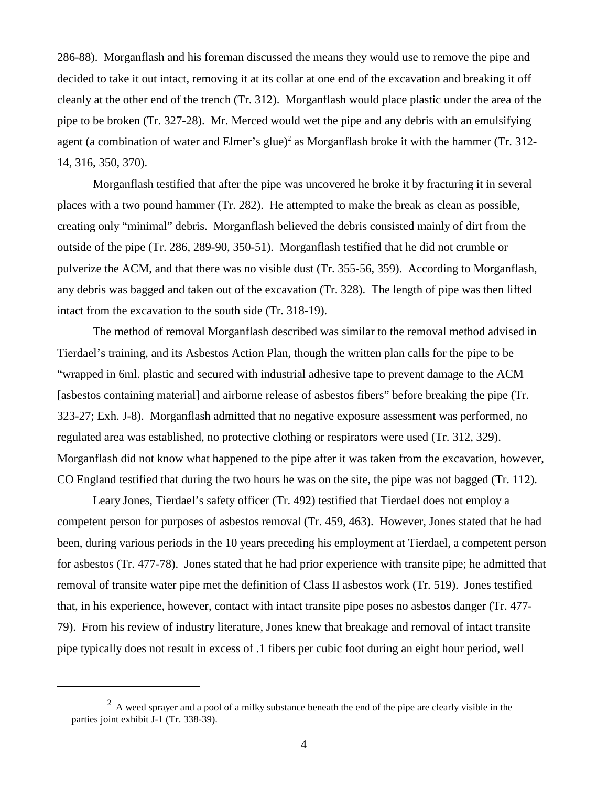286-88). Morganflash and his foreman discussed the means they would use to remove the pipe and decided to take it out intact, removing it at its collar at one end of the excavation and breaking it off cleanly at the other end of the trench (Tr. 312). Morganflash would place plastic under the area of the pipe to be broken (Tr. 327-28). Mr. Merced would wet the pipe and any debris with an emulsifying agent (a combination of water and Elmer's glue)<sup>2</sup> as Morganflash broke it with the hammer (Tr. 312-14, 316, 350, 370).

Morganflash testified that after the pipe was uncovered he broke it by fracturing it in several places with a two pound hammer (Tr. 282). He attempted to make the break as clean as possible, creating only "minimal" debris. Morganflash believed the debris consisted mainly of dirt from the outside of the pipe (Tr. 286, 289-90, 350-51). Morganflash testified that he did not crumble or pulverize the ACM, and that there was no visible dust (Tr. 355-56, 359). According to Morganflash, any debris was bagged and taken out of the excavation (Tr. 328). The length of pipe was then lifted intact from the excavation to the south side (Tr. 318-19).

The method of removal Morganflash described was similar to the removal method advised in Tierdael's training, and its Asbestos Action Plan, though the written plan calls for the pipe to be "wrapped in 6ml. plastic and secured with industrial adhesive tape to prevent damage to the ACM [asbestos containing material] and airborne release of asbestos fibers" before breaking the pipe (Tr. 323-27; Exh. J-8). Morganflash admitted that no negative exposure assessment was performed, no regulated area was established, no protective clothing or respirators were used (Tr. 312, 329). Morganflash did not know what happened to the pipe after it was taken from the excavation, however, CO England testified that during the two hours he was on the site, the pipe was not bagged (Tr. 112).

Leary Jones, Tierdael's safety officer (Tr. 492) testified that Tierdael does not employ a competent person for purposes of asbestos removal (Tr. 459, 463). However, Jones stated that he had been, during various periods in the 10 years preceding his employment at Tierdael, a competent person for asbestos (Tr. 477-78). Jones stated that he had prior experience with transite pipe; he admitted that removal of transite water pipe met the definition of Class II asbestos work (Tr. 519). Jones testified that, in his experience, however, contact with intact transite pipe poses no asbestos danger (Tr. 477- 79). From his review of industry literature, Jones knew that breakage and removal of intact transite pipe typically does not result in excess of .1 fibers per cubic foot during an eight hour period, well

<sup>&</sup>lt;sup>2</sup> A weed sprayer and a pool of a milky substance beneath the end of the pipe are clearly visible in the parties joint exhibit J-1 (Tr. 338-39).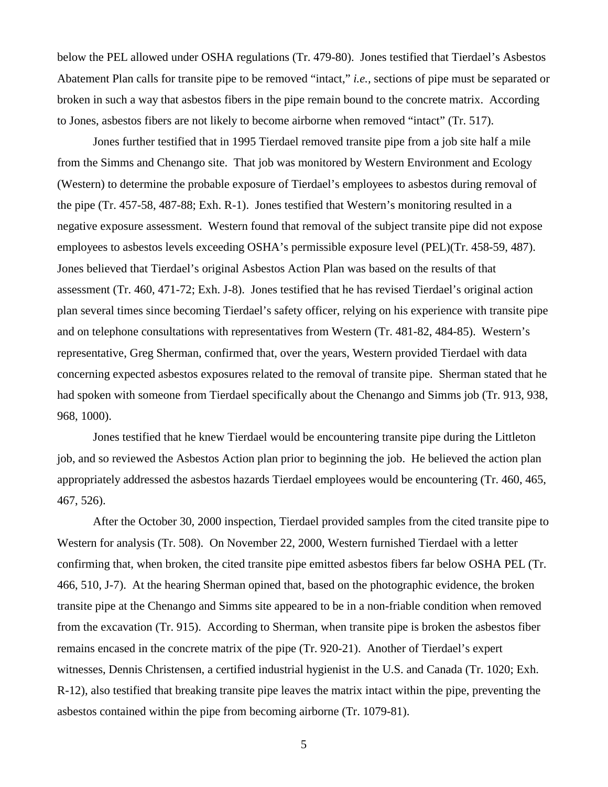below the PEL allowed under OSHA regulations (Tr. 479-80). Jones testified that Tierdael's Asbestos Abatement Plan calls for transite pipe to be removed "intact," *i.e.,* sections of pipe must be separated or broken in such a way that asbestos fibers in the pipe remain bound to the concrete matrix. According to Jones, asbestos fibers are not likely to become airborne when removed "intact" (Tr. 517).

Jones further testified that in 1995 Tierdael removed transite pipe from a job site half a mile from the Simms and Chenango site. That job was monitored by Western Environment and Ecology (Western) to determine the probable exposure of Tierdael's employees to asbestos during removal of the pipe (Tr. 457-58, 487-88; Exh. R-1). Jones testified that Western's monitoring resulted in a negative exposure assessment. Western found that removal of the subject transite pipe did not expose employees to asbestos levels exceeding OSHA's permissible exposure level (PEL)(Tr. 458-59, 487). Jones believed that Tierdael's original Asbestos Action Plan was based on the results of that assessment (Tr. 460, 471-72; Exh. J-8). Jones testified that he has revised Tierdael's original action plan several times since becoming Tierdael's safety officer, relying on his experience with transite pipe and on telephone consultations with representatives from Western (Tr. 481-82, 484-85). Western's representative, Greg Sherman, confirmed that, over the years, Western provided Tierdael with data concerning expected asbestos exposures related to the removal of transite pipe. Sherman stated that he had spoken with someone from Tierdael specifically about the Chenango and Simms job (Tr. 913, 938, 968, 1000).

Jones testified that he knew Tierdael would be encountering transite pipe during the Littleton job, and so reviewed the Asbestos Action plan prior to beginning the job. He believed the action plan appropriately addressed the asbestos hazards Tierdael employees would be encountering (Tr. 460, 465, 467, 526).

After the October 30, 2000 inspection, Tierdael provided samples from the cited transite pipe to Western for analysis (Tr. 508). On November 22, 2000, Western furnished Tierdael with a letter confirming that, when broken, the cited transite pipe emitted asbestos fibers far below OSHA PEL (Tr. 466, 510, J-7). At the hearing Sherman opined that, based on the photographic evidence, the broken transite pipe at the Chenango and Simms site appeared to be in a non-friable condition when removed from the excavation (Tr. 915). According to Sherman, when transite pipe is broken the asbestos fiber remains encased in the concrete matrix of the pipe (Tr. 920-21). Another of Tierdael's expert witnesses, Dennis Christensen, a certified industrial hygienist in the U.S. and Canada (Tr. 1020; Exh. R-12), also testified that breaking transite pipe leaves the matrix intact within the pipe, preventing the asbestos contained within the pipe from becoming airborne (Tr. 1079-81).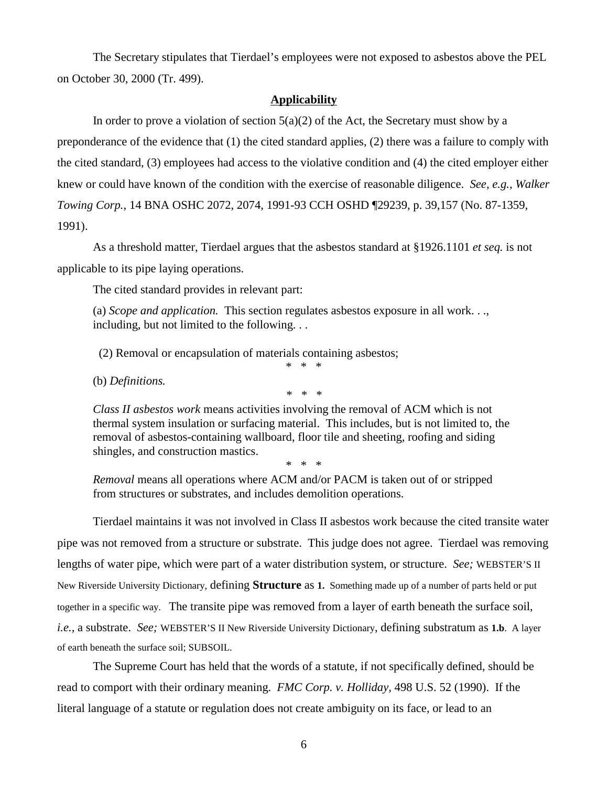The Secretary stipulates that Tierdael's employees were not exposed to asbestos above the PEL on October 30, 2000 (Tr. 499).

### **Applicability**

In order to prove a violation of section  $5(a)(2)$  of the Act, the Secretary must show by a preponderance of the evidence that (1) the cited standard applies, (2) there was a failure to comply with the cited standard, (3) employees had access to the violative condition and (4) the cited employer either knew or could have known of the condition with the exercise of reasonable diligence. *See, e.g., Walker Towing Corp.*, 14 BNA OSHC 2072, 2074, 1991-93 CCH OSHD ¶29239, p. 39,157 (No. 87-1359, 1991).

As a threshold matter, Tierdael argues that the asbestos standard at §1926.1101 *et seq.* is not applicable to its pipe laying operations.

The cited standard provides in relevant part:

(a) *Scope and application.* This section regulates asbestos exposure in all work. . ., including, but not limited to the following. . .

(2) Removal or encapsulation of materials containing asbestos;

(b) *Definitions.* 

*\* \* \** 

\* \* \*

*Class II asbestos work* means activities involving the removal of ACM which is not thermal system insulation or surfacing material. This includes, but is not limited to, the removal of asbestos-containing wallboard, floor tile and sheeting, roofing and siding shingles, and construction mastics.

\* \* \*

*Removal* means all operations where ACM and/or PACM is taken out of or stripped from structures or substrates, and includes demolition operations.

Tierdael maintains it was not involved in Class II asbestos work because the cited transite water pipe was not removed from a structure or substrate. This judge does not agree. Tierdael was removing lengths of water pipe, which were part of a water distribution system, or structure. *See;* WEBSTER'S II New Riverside University Dictionary, defining **Structure** as **1.** Something made up of a number of parts held or put together in a specific way. The transite pipe was removed from a layer of earth beneath the surface soil, *i.e.,* a substrate. *See;* WEBSTER'S II New Riverside University Dictionary, defining substratum as **1.b**. A layer of earth beneath the surface soil; SUBSOIL.

The Supreme Court has held that the words of a statute, if not specifically defined, should be read to comport with their ordinary meaning. *FMC Corp. v. Holliday,* 498 U.S. 52 (1990). If the literal language of a statute or regulation does not create ambiguity on its face, or lead to an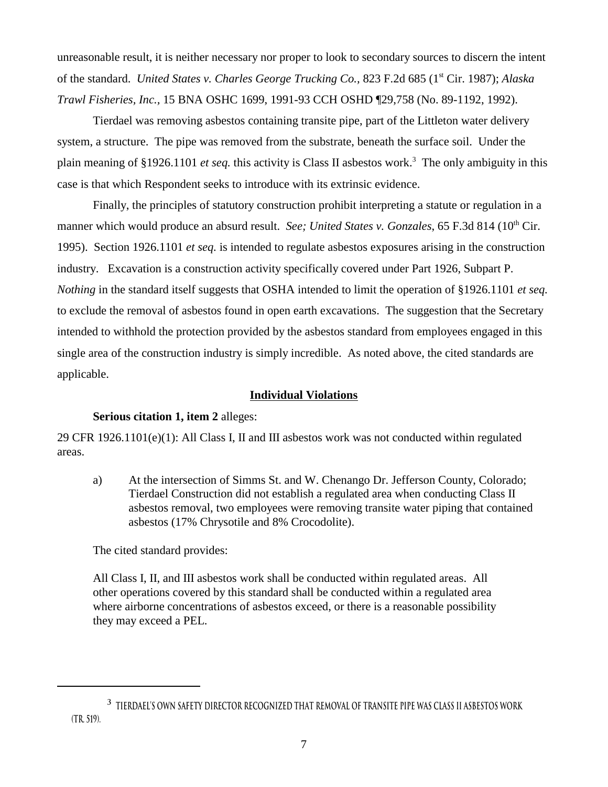unreasonable result, it is neither necessary nor proper to look to secondary sources to discern the intent of the standard. *United States v. Charles George Trucking Co.,* 823 F.2d 685 (1st Cir. 1987); *Alaska Trawl Fisheries, Inc.,* 15 BNA OSHC 1699, 1991-93 CCH OSHD ¶29,758 (No. 89-1192, 1992).

Tierdael was removing asbestos containing transite pipe, part of the Littleton water delivery system, a structure. The pipe was removed from the substrate, beneath the surface soil. Under the plain meaning of §1926.1101 *et seq.* this activity is Class II asbestos work. 3 The only ambiguity in this case is that which Respondent seeks to introduce with its extrinsic evidence.

Finally, the principles of statutory construction prohibit interpreting a statute or regulation in a manner which would produce an absurd result. *See; United States v. Gonzales*, 65 F.3d 814 (10<sup>th</sup> Cir. 1995). Section 1926.1101 *et seq.* is intended to regulate asbestos exposures arising in the construction industry. Excavation is a construction activity specifically covered under Part 1926, Subpart P. *Nothing* in the standard itself suggests that OSHA intended to limit the operation of §1926.1101 *et seq.*  to exclude the removal of asbestos found in open earth excavations. The suggestion that the Secretary intended to withhold the protection provided by the asbestos standard from employees engaged in this single area of the construction industry is simply incredible. As noted above, the cited standards are applicable.

### **Individual Violations**

### **Serious citation 1, item 2** alleges:

29 CFR 1926.1101(e)(1): All Class I, II and III asbestos work was not conducted within regulated areas.

a) At the intersection of Simms St. and W. Chenango Dr. Jefferson County, Colorado; Tierdael Construction did not establish a regulated area when conducting Class II asbestos removal, two employees were removing transite water piping that contained asbestos (17% Chrysotile and 8% Crocodolite).

The cited standard provides:

All Class I, II, and III asbestos work shall be conducted within regulated areas. All other operations covered by this standard shall be conducted within a regulated area where airborne concentrations of asbestos exceed, or there is a reasonable possibility they may exceed a PEL.

**<sup>3</sup> Tierdael's own safety director recognized that removal of transite pipe was Class II asbestos work (Tr. 519).**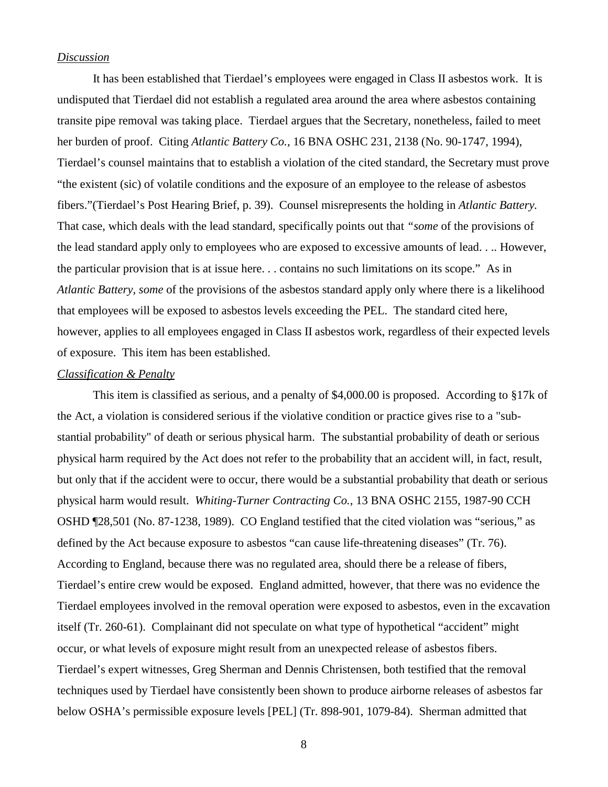### *Discussion*

It has been established that Tierdael's employees were engaged in Class II asbestos work. It is undisputed that Tierdael did not establish a regulated area around the area where asbestos containing transite pipe removal was taking place. Tierdael argues that the Secretary, nonetheless, failed to meet her burden of proof. Citing *Atlantic Battery Co.,* 16 BNA OSHC 231, 2138 (No. 90-1747, 1994), Tierdael's counsel maintains that to establish a violation of the cited standard, the Secretary must prove "the existent (sic) of volatile conditions and the exposure of an employee to the release of asbestos fibers."(Tierdael's Post Hearing Brief, p. 39). Counsel misrepresents the holding in *Atlantic Battery.*  That case, which deals with the lead standard, specifically points out that *"some* of the provisions of the lead standard apply only to employees who are exposed to excessive amounts of lead. . .. However, the particular provision that is at issue here. . . contains no such limitations on its scope." As in *Atlantic Battery, some* of the provisions of the asbestos standard apply only where there is a likelihood that employees will be exposed to asbestos levels exceeding the PEL. The standard cited here, however, applies to all employees engaged in Class II asbestos work, regardless of their expected levels of exposure. This item has been established.

### *Classification & Penalty*

This item is classified as serious, and a penalty of \$4,000.00 is proposed. According to §17k of the Act, a violation is considered serious if the violative condition or practice gives rise to a "substantial probability" of death or serious physical harm. The substantial probability of death or serious physical harm required by the Act does not refer to the probability that an accident will, in fact, result, but only that if the accident were to occur, there would be a substantial probability that death or serious physical harm would result. *Whiting-Turner Contracting Co.,* 13 BNA OSHC 2155, 1987-90 CCH OSHD ¶28,501 (No. 87-1238, 1989). CO England testified that the cited violation was "serious," as defined by the Act because exposure to asbestos "can cause life-threatening diseases" (Tr. 76). According to England, because there was no regulated area, should there be a release of fibers, Tierdael's entire crew would be exposed. England admitted, however, that there was no evidence the Tierdael employees involved in the removal operation were exposed to asbestos, even in the excavation itself (Tr. 260-61). Complainant did not speculate on what type of hypothetical "accident" might occur, or what levels of exposure might result from an unexpected release of asbestos fibers. Tierdael's expert witnesses, Greg Sherman and Dennis Christensen, both testified that the removal techniques used by Tierdael have consistently been shown to produce airborne releases of asbestos far below OSHA's permissible exposure levels [PEL] (Tr. 898-901, 1079-84). Sherman admitted that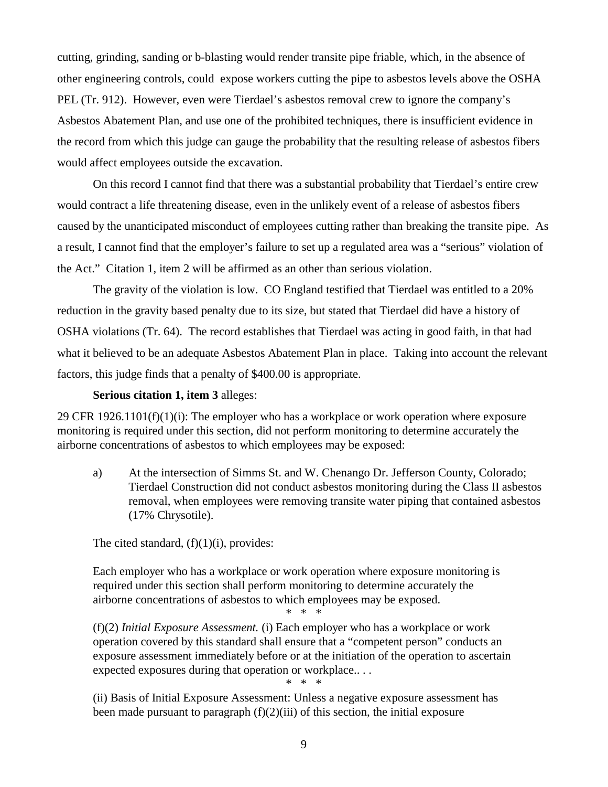cutting, grinding, sanding or b-blasting would render transite pipe friable, which, in the absence of other engineering controls, could expose workers cutting the pipe to asbestos levels above the OSHA PEL (Tr. 912). However, even were Tierdael's asbestos removal crew to ignore the company's Asbestos Abatement Plan, and use one of the prohibited techniques, there is insufficient evidence in the record from which this judge can gauge the probability that the resulting release of asbestos fibers would affect employees outside the excavation.

On this record I cannot find that there was a substantial probability that Tierdael's entire crew would contract a life threatening disease, even in the unlikely event of a release of asbestos fibers caused by the unanticipated misconduct of employees cutting rather than breaking the transite pipe. As a result, I cannot find that the employer's failure to set up a regulated area was a "serious" violation of the Act." Citation 1, item 2 will be affirmed as an other than serious violation.

The gravity of the violation is low. CO England testified that Tierdael was entitled to a 20% reduction in the gravity based penalty due to its size, but stated that Tierdael did have a history of OSHA violations (Tr. 64). The record establishes that Tierdael was acting in good faith, in that had what it believed to be an adequate Asbestos Abatement Plan in place. Taking into account the relevant factors, this judge finds that a penalty of \$400.00 is appropriate.

### **Serious citation 1, item 3** alleges:

29 CFR 1926.1101(f)(1)(i): The employer who has a workplace or work operation where exposure monitoring is required under this section, did not perform monitoring to determine accurately the airborne concentrations of asbestos to which employees may be exposed:

a) At the intersection of Simms St. and W. Chenango Dr. Jefferson County, Colorado; Tierdael Construction did not conduct asbestos monitoring during the Class II asbestos removal, when employees were removing transite water piping that contained asbestos (17% Chrysotile).

The cited standard,  $(f)(1)(i)$ , provides:

Each employer who has a workplace or work operation where exposure monitoring is required under this section shall perform monitoring to determine accurately the airborne concentrations of asbestos to which employees may be exposed.

\* \* \*

(f)(2) *Initial Exposure Assessment.* (i) Each employer who has a workplace or work operation covered by this standard shall ensure that a "competent person" conducts an exposure assessment immediately before or at the initiation of the operation to ascertain expected exposures during that operation or workplace.. . . \* \* \*

(ii) Basis of Initial Exposure Assessment: Unless a negative exposure assessment has been made pursuant to paragraph (f)(2)(iii) of this section, the initial exposure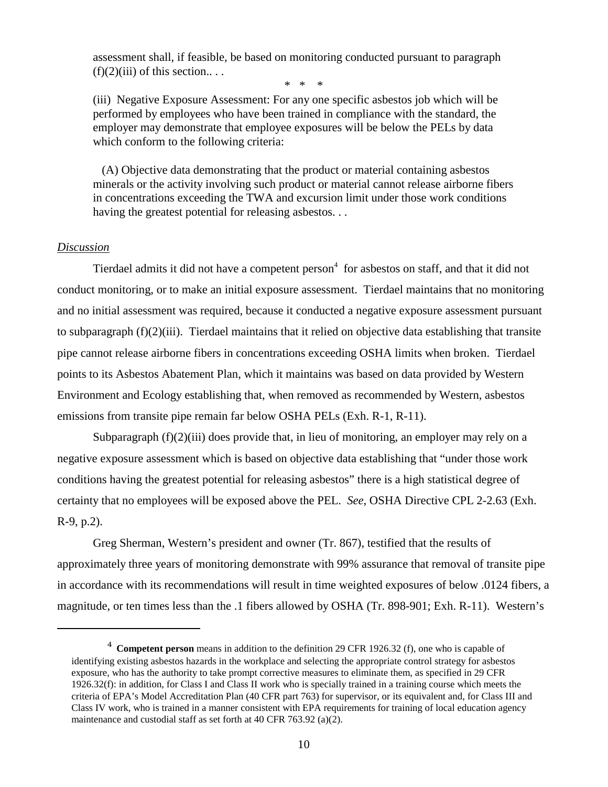assessment shall, if feasible, be based on monitoring conducted pursuant to paragraph  $(f)(2)(iii)$  of this section...

\* \* \*

(iii) Negative Exposure Assessment: For any one specific asbestos job which will be performed by employees who have been trained in compliance with the standard, the employer may demonstrate that employee exposures will be below the PELs by data which conform to the following criteria:

(A) Objective data demonstrating that the product or material containing asbestos minerals or the activity involving such product or material cannot release airborne fibers in concentrations exceeding the TWA and excursion limit under those work conditions having the greatest potential for releasing asbestos...

### *Discussion*

Tierdael admits it did not have a competent person<sup>4</sup> for asbestos on staff, and that it did not conduct monitoring, or to make an initial exposure assessment. Tierdael maintains that no monitoring and no initial assessment was required, because it conducted a negative exposure assessment pursuant to subparagraph (f)(2)(iii). Tierdael maintains that it relied on objective data establishing that transite pipe cannot release airborne fibers in concentrations exceeding OSHA limits when broken. Tierdael points to its Asbestos Abatement Plan, which it maintains was based on data provided by Western Environment and Ecology establishing that, when removed as recommended by Western, asbestos emissions from transite pipe remain far below OSHA PELs (Exh. R-1, R-11).

Subparagraph (f)(2)(iii) does provide that, in lieu of monitoring, an employer may rely on a negative exposure assessment which is based on objective data establishing that "under those work conditions having the greatest potential for releasing asbestos" there is a high statistical degree of certainty that no employees will be exposed above the PEL. *See,* OSHA Directive CPL 2-2.63 (Exh. R-9, p.2).

Greg Sherman, Western's president and owner (Tr. 867), testified that the results of approximately three years of monitoring demonstrate with 99% assurance that removal of transite pipe in accordance with its recommendations will result in time weighted exposures of below .0124 fibers, a magnitude, or ten times less than the .1 fibers allowed by OSHA (Tr. 898-901; Exh. R-11). Western's

**<sup>4</sup>Competent person** means in addition to the definition 29 CFR 1926.32 (f), one who is capable of identifying existing asbestos hazards in the workplace and selecting the appropriate control strategy for asbestos exposure, who has the authority to take prompt corrective measures to eliminate them, as specified in 29 CFR 1926.32(f): in addition, for Class I and Class II work who is specially trained in a training course which meets the criteria of EPA's Model Accreditation Plan (40 CFR part 763) for supervisor, or its equivalent and, for Class III and Class IV work, who is trained in a manner consistent with EPA requirements for training of local education agency maintenance and custodial staff as set forth at 40 CFR 763.92 (a)(2).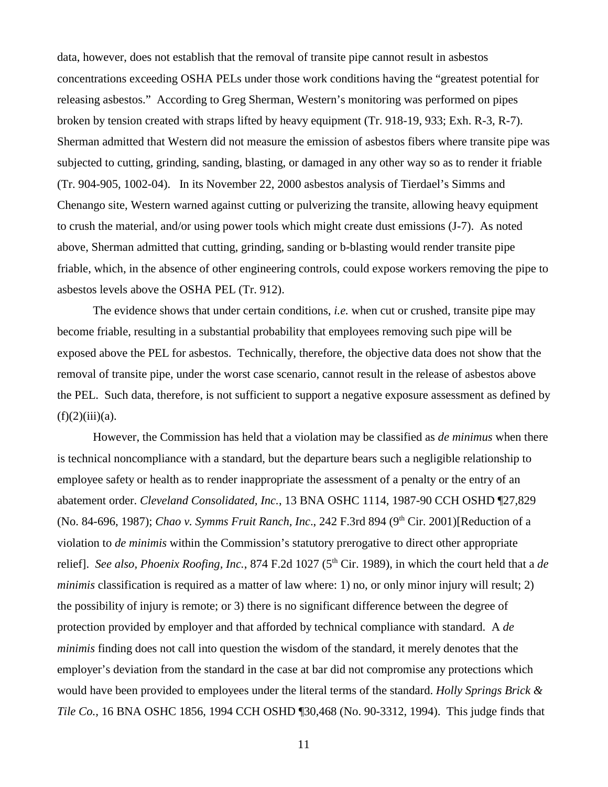data, however, does not establish that the removal of transite pipe cannot result in asbestos concentrations exceeding OSHA PELs under those work conditions having the "greatest potential for releasing asbestos." According to Greg Sherman, Western's monitoring was performed on pipes broken by tension created with straps lifted by heavy equipment (Tr. 918-19, 933; Exh. R-3, R-7). Sherman admitted that Western did not measure the emission of asbestos fibers where transite pipe was subjected to cutting, grinding, sanding, blasting, or damaged in any other way so as to render it friable (Tr. 904-905, 1002-04). In its November 22, 2000 asbestos analysis of Tierdael's Simms and Chenango site, Western warned against cutting or pulverizing the transite, allowing heavy equipment to crush the material, and/or using power tools which might create dust emissions (J-7). As noted above, Sherman admitted that cutting, grinding, sanding or b-blasting would render transite pipe friable, which, in the absence of other engineering controls, could expose workers removing the pipe to asbestos levels above the OSHA PEL (Tr. 912).

The evidence shows that under certain conditions, *i.e.* when cut or crushed, transite pipe may become friable, resulting in a substantial probability that employees removing such pipe will be exposed above the PEL for asbestos. Technically, therefore, the objective data does not show that the removal of transite pipe, under the worst case scenario, cannot result in the release of asbestos above the PEL. Such data, therefore, is not sufficient to support a negative exposure assessment as defined by  $(f)(2)(iii)(a)$ .

However, the Commission has held that a violation may be classified as *de minimus* when there is technical noncompliance with a standard, but the departure bears such a negligible relationship to employee safety or health as to render inappropriate the assessment of a penalty or the entry of an abatement order. *Cleveland Consolidated, Inc.*, 13 BNA OSHC 1114, 1987-90 CCH OSHD ¶27,829 (No. 84-696, 1987); *Chao v. Symms Fruit Ranch, Inc.*, 242 F.3rd 894 (9<sup>th</sup> Cir. 2001)[Reduction of a violation to *de minimis* within the Commission's statutory prerogative to direct other appropriate relief]. *See also, Phoenix Roofing, Inc.*, 874 F.2d 1027 (5<sup>th</sup> Cir. 1989), in which the court held that a *de minimis* classification is required as a matter of law where: 1) no, or only minor injury will result; 2) the possibility of injury is remote; or 3) there is no significant difference between the degree of protection provided by employer and that afforded by technical compliance with standard. A *de minimis* finding does not call into question the wisdom of the standard, it merely denotes that the employer's deviation from the standard in the case at bar did not compromise any protections which would have been provided to employees under the literal terms of the standard. *Holly Springs Brick & Tile Co.,* 16 BNA OSHC 1856, 1994 CCH OSHD ¶30,468 (No. 90-3312, 1994). This judge finds that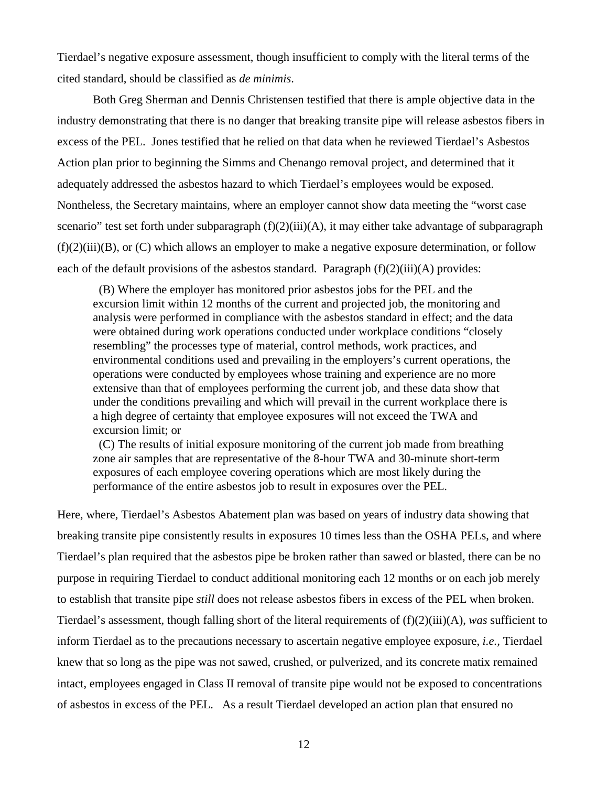Tierdael's negative exposure assessment, though insufficient to comply with the literal terms of the cited standard, should be classified as *de minimis*.

Both Greg Sherman and Dennis Christensen testified that there is ample objective data in the industry demonstrating that there is no danger that breaking transite pipe will release asbestos fibers in excess of the PEL. Jones testified that he relied on that data when he reviewed Tierdael's Asbestos Action plan prior to beginning the Simms and Chenango removal project, and determined that it adequately addressed the asbestos hazard to which Tierdael's employees would be exposed. Nontheless, the Secretary maintains, where an employer cannot show data meeting the "worst case scenario" test set forth under subparagraph  $(f)(2)(iii)(A)$ , it may either take advantage of subparagraph  $(f)(2)(iii)(B)$ , or  $(C)$  which allows an employer to make a negative exposure determination, or follow each of the default provisions of the asbestos standard. Paragraph  $(f)(2)(iii)(A)$  provides:

(B) Where the employer has monitored prior asbestos jobs for the PEL and the excursion limit within 12 months of the current and projected job, the monitoring and analysis were performed in compliance with the asbestos standard in effect; and the data were obtained during work operations conducted under workplace conditions "closely resembling" the processes type of material, control methods, work practices, and environmental conditions used and prevailing in the employers's current operations, the operations were conducted by employees whose training and experience are no more extensive than that of employees performing the current job, and these data show that under the conditions prevailing and which will prevail in the current workplace there is a high degree of certainty that employee exposures will not exceed the TWA and excursion limit; or

(C) The results of initial exposure monitoring of the current job made from breathing zone air samples that are representative of the 8-hour TWA and 30-minute short-term exposures of each employee covering operations which are most likely during the performance of the entire asbestos job to result in exposures over the PEL.

Here, where, Tierdael's Asbestos Abatement plan was based on years of industry data showing that breaking transite pipe consistently results in exposures 10 times less than the OSHA PELs, and where Tierdael's plan required that the asbestos pipe be broken rather than sawed or blasted, there can be no purpose in requiring Tierdael to conduct additional monitoring each 12 months or on each job merely to establish that transite pipe *still* does not release asbestos fibers in excess of the PEL when broken. Tierdael's assessment, though falling short of the literal requirements of (f)(2)(iii)(A), *was* sufficient to inform Tierdael as to the precautions necessary to ascertain negative employee exposure, *i.e.,* Tierdael knew that so long as the pipe was not sawed, crushed, or pulverized*,* and its concrete matix remained intact, employees engaged in Class II removal of transite pipe would not be exposed to concentrations of asbestos in excess of the PEL. As a result Tierdael developed an action plan that ensured no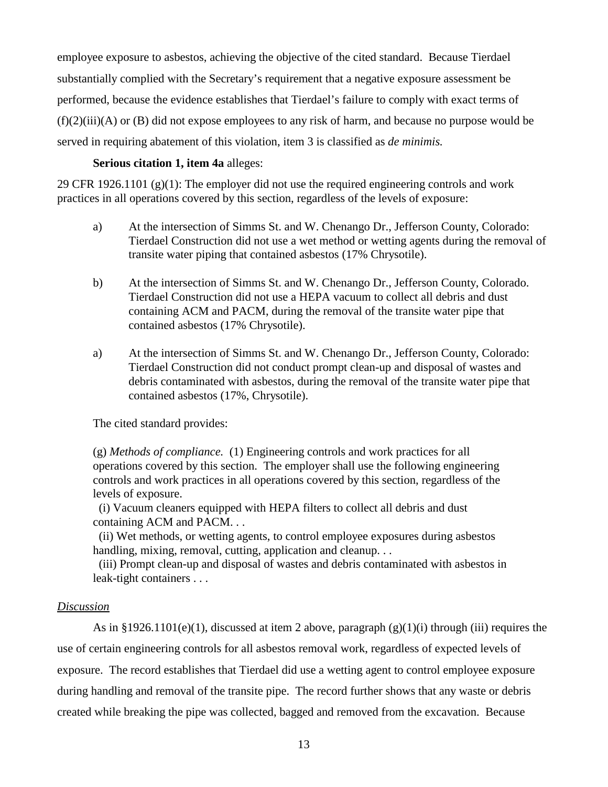employee exposure to asbestos, achieving the objective of the cited standard. Because Tierdael substantially complied with the Secretary's requirement that a negative exposure assessment be performed, because the evidence establishes that Tierdael's failure to comply with exact terms of (f)(2)(iii)(A) or (B) did not expose employees to any risk of harm, and because no purpose would be served in requiring abatement of this violation, item 3 is classified as *de minimis.* 

### **Serious citation 1, item 4a** alleges:

29 CFR 1926.1101 (g)(1): The employer did not use the required engineering controls and work practices in all operations covered by this section, regardless of the levels of exposure:

- a) At the intersection of Simms St. and W. Chenango Dr., Jefferson County, Colorado: Tierdael Construction did not use a wet method or wetting agents during the removal of transite water piping that contained asbestos (17% Chrysotile).
- b) At the intersection of Simms St. and W. Chenango Dr., Jefferson County, Colorado. Tierdael Construction did not use a HEPA vacuum to collect all debris and dust containing ACM and PACM, during the removal of the transite water pipe that contained asbestos (17% Chrysotile).
- a) At the intersection of Simms St. and W. Chenango Dr., Jefferson County, Colorado: Tierdael Construction did not conduct prompt clean-up and disposal of wastes and debris contaminated with asbestos, during the removal of the transite water pipe that contained asbestos (17%, Chrysotile).

The cited standard provides:

(g) *Methods of compliance.* (1) Engineering controls and work practices for all operations covered by this section. The employer shall use the following engineering controls and work practices in all operations covered by this section, regardless of the levels of exposure.

(i) Vacuum cleaners equipped with HEPA filters to collect all debris and dust containing ACM and PACM. . .

(ii) Wet methods, or wetting agents, to control employee exposures during asbestos handling, mixing, removal, cutting, application and cleanup...

(iii) Prompt clean-up and disposal of wastes and debris contaminated with asbestos in leak-tight containers . . .

### *Discussion*

As in §1926.1101(e)(1), discussed at item 2 above, paragraph  $(g)(1)(i)$  through (iii) requires the use of certain engineering controls for all asbestos removal work, regardless of expected levels of exposure. The record establishes that Tierdael did use a wetting agent to control employee exposure during handling and removal of the transite pipe. The record further shows that any waste or debris created while breaking the pipe was collected, bagged and removed from the excavation. Because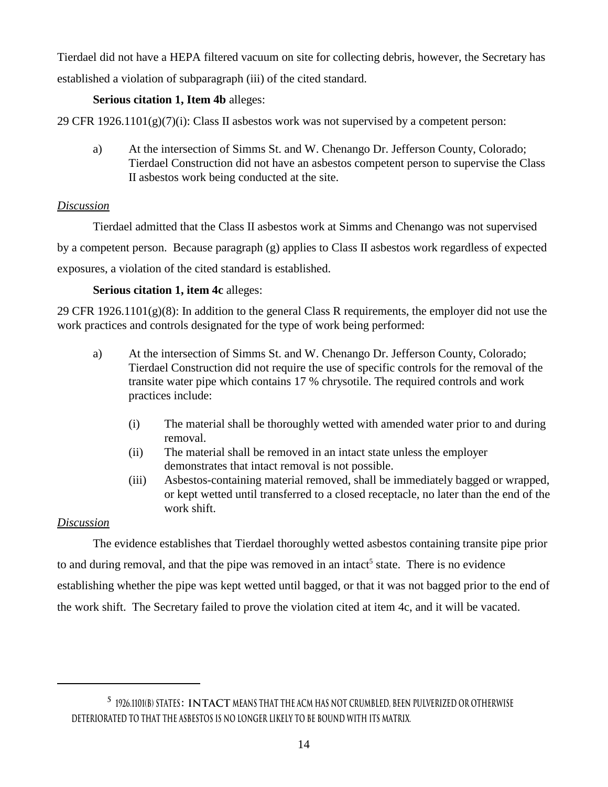Tierdael did not have a HEPA filtered vacuum on site for collecting debris, however, the Secretary has established a violation of subparagraph (iii) of the cited standard.

## **Serious citation 1, Item 4b** alleges:

29 CFR  $1926.1101(g)(7)(i)$ : Class II asbestos work was not supervised by a competent person:

a) At the intersection of Simms St. and W. Chenango Dr. Jefferson County, Colorado; Tierdael Construction did not have an asbestos competent person to supervise the Class II asbestos work being conducted at the site.

## *Discussion*

Tierdael admitted that the Class II asbestos work at Simms and Chenango was not supervised

by a competent person. Because paragraph (g) applies to Class II asbestos work regardless of expected exposures, a violation of the cited standard is established.

# **Serious citation 1, item 4c** alleges:

29 CFR 1926.1101(g)(8): In addition to the general Class R requirements, the employer did not use the work practices and controls designated for the type of work being performed:

- a) At the intersection of Simms St. and W. Chenango Dr. Jefferson County, Colorado; Tierdael Construction did not require the use of specific controls for the removal of the transite water pipe which contains 17 % chrysotile. The required controls and work practices include:
	- (i) The material shall be thoroughly wetted with amended water prior to and during removal.
	- (ii) The material shall be removed in an intact state unless the employer demonstrates that intact removal is not possible.
	- (iii) Asbestos-containing material removed, shall be immediately bagged or wrapped, or kept wetted until transferred to a closed receptacle, no later than the end of the work shift.

# *Discussion*

The evidence establishes that Tierdael thoroughly wetted asbestos containing transite pipe prior to and during removal, and that the pipe was removed in an intact<sup>5</sup> state. There is no evidence establishing whether the pipe was kept wetted until bagged, or that it was not bagged prior to the end of the work shift. The Secretary failed to prove the violation cited at item 4c, and it will be vacated.

**<sup>5 1926.1101(</sup>b) states: Intact means that the ACM has not crumbled, been pulverized or otherwise deteriorated to that the asbestos is no longer likely to be bound with its matrix.**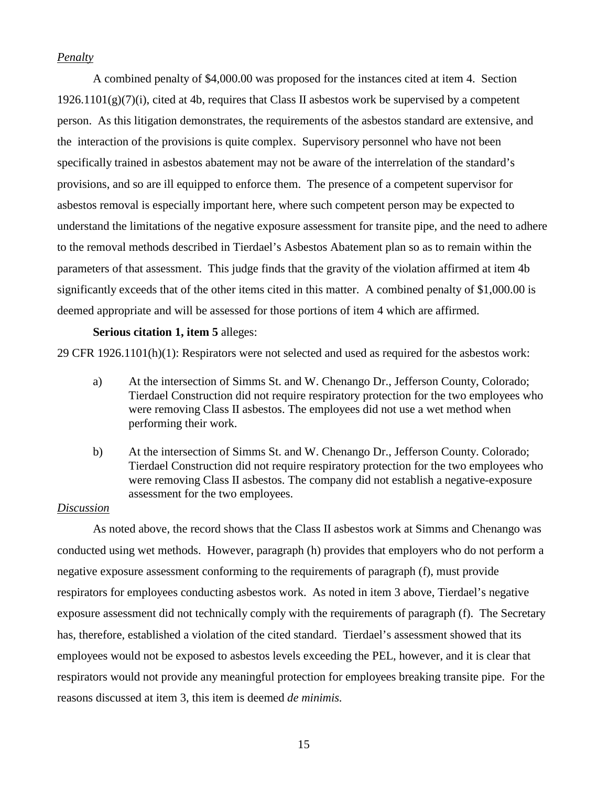### *Penalty*

A combined penalty of \$4,000.00 was proposed for the instances cited at item 4. Section  $1926.1101(g)(7)(i)$ , cited at 4b, requires that Class II asbestos work be supervised by a competent person. As this litigation demonstrates, the requirements of the asbestos standard are extensive, and the interaction of the provisions is quite complex. Supervisory personnel who have not been specifically trained in asbestos abatement may not be aware of the interrelation of the standard's provisions, and so are ill equipped to enforce them. The presence of a competent supervisor for asbestos removal is especially important here, where such competent person may be expected to understand the limitations of the negative exposure assessment for transite pipe, and the need to adhere to the removal methods described in Tierdael's Asbestos Abatement plan so as to remain within the parameters of that assessment. This judge finds that the gravity of the violation affirmed at item 4b significantly exceeds that of the other items cited in this matter. A combined penalty of \$1,000.00 is deemed appropriate and will be assessed for those portions of item 4 which are affirmed.

### **Serious citation 1, item 5** alleges:

29 CFR 1926.1101(h)(1): Respirators were not selected and used as required for the asbestos work:

- a) At the intersection of Simms St. and W. Chenango Dr., Jefferson County, Colorado; Tierdael Construction did not require respiratory protection for the two employees who were removing Class II asbestos. The employees did not use a wet method when performing their work.
- b) At the intersection of Simms St. and W. Chenango Dr., Jefferson County. Colorado; Tierdael Construction did not require respiratory protection for the two employees who were removing Class II asbestos. The company did not establish a negative-exposure assessment for the two employees.

## *Discussion*

As noted above, the record shows that the Class II asbestos work at Simms and Chenango was conducted using wet methods. However, paragraph (h) provides that employers who do not perform a negative exposure assessment conforming to the requirements of paragraph (f), must provide respirators for employees conducting asbestos work. As noted in item 3 above, Tierdael's negative exposure assessment did not technically comply with the requirements of paragraph (f). The Secretary has, therefore, established a violation of the cited standard. Tierdael's assessment showed that its employees would not be exposed to asbestos levels exceeding the PEL, however, and it is clear that respirators would not provide any meaningful protection for employees breaking transite pipe. For the reasons discussed at item 3, this item is deemed *de minimis.*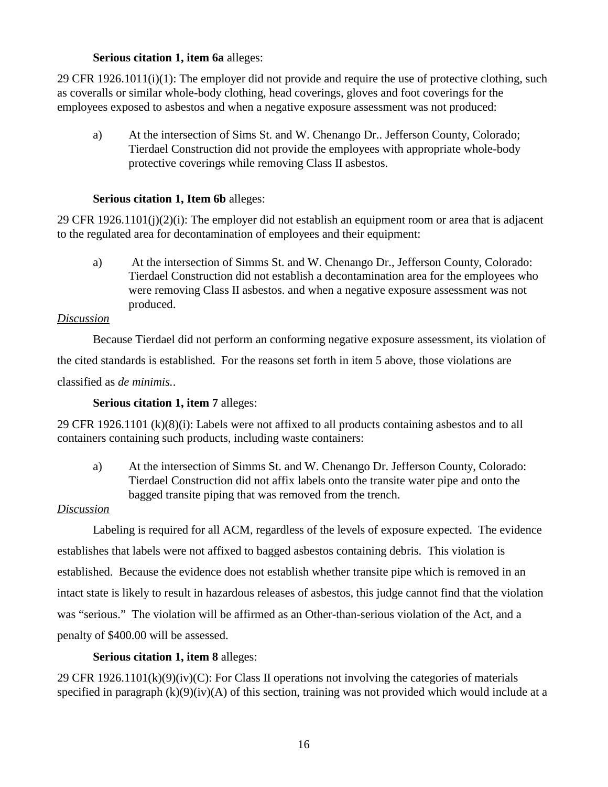## **Serious citation 1, item 6a** alleges:

29 CFR 1926.1011(i)(1): The employer did not provide and require the use of protective clothing, such as coveralls or similar whole-body clothing, head coverings, gloves and foot coverings for the employees exposed to asbestos and when a negative exposure assessment was not produced:

a) At the intersection of Sims St. and W. Chenango Dr.. Jefferson County, Colorado; Tierdael Construction did not provide the employees with appropriate whole-body protective coverings while removing Class II asbestos.

## **Serious citation 1, Item 6b** alleges:

29 CFR 1926.1101(j)(2)(j): The employer did not establish an equipment room or area that is adjacent to the regulated area for decontamination of employees and their equipment:

a) At the intersection of Simms St. and W. Chenango Dr., Jefferson County, Colorado: Tierdael Construction did not establish a decontamination area for the employees who were removing Class II asbestos. and when a negative exposure assessment was not produced.

## *Discussion*

Because Tierdael did not perform an conforming negative exposure assessment, its violation of

the cited standards is established. For the reasons set forth in item 5 above, those violations are

classified as *de minimis.*.

## **Serious citation 1, item 7** alleges:

29 CFR 1926.1101 (k)(8)(i): Labels were not affixed to all products containing asbestos and to all containers containing such products, including waste containers:

a) At the intersection of Simms St. and W. Chenango Dr. Jefferson County, Colorado: Tierdael Construction did not affix labels onto the transite water pipe and onto the bagged transite piping that was removed from the trench.

## *Discussion*

Labeling is required for all ACM, regardless of the levels of exposure expected. The evidence establishes that labels were not affixed to bagged asbestos containing debris. This violation is established. Because the evidence does not establish whether transite pipe which is removed in an intact state is likely to result in hazardous releases of asbestos, this judge cannot find that the violation was "serious." The violation will be affirmed as an Other-than-serious violation of the Act, and a penalty of \$400.00 will be assessed.

## **Serious citation 1, item 8** alleges:

29 CFR 1926.1101(k)(9)(iv)(C): For Class II operations not involving the categories of materials specified in paragraph  $(k)(9)(iv)(A)$  of this section, training was not provided which would include at a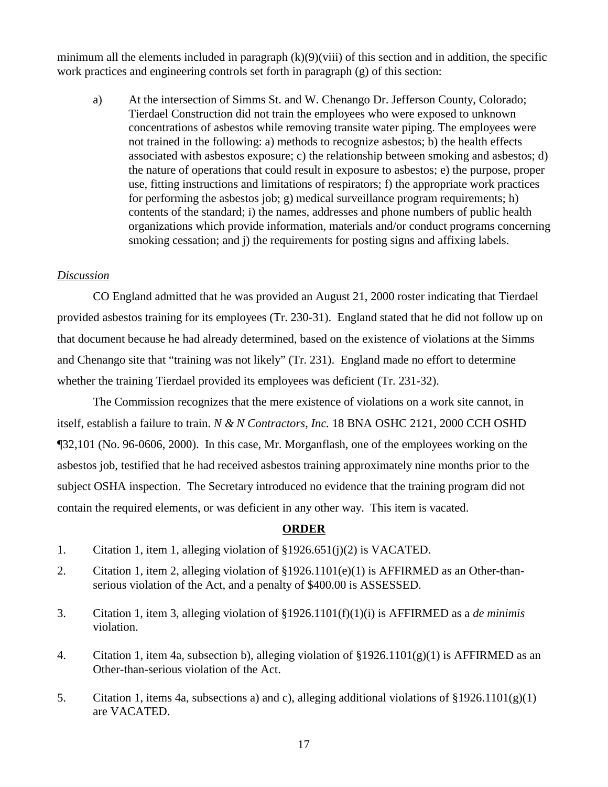minimum all the elements included in paragraph  $(k)(9)(viii)$  of this section and in addition, the specific work practices and engineering controls set forth in paragraph (g) of this section:

a) At the intersection of Simms St. and W. Chenango Dr. Jefferson County, Colorado; Tierdael Construction did not train the employees who were exposed to unknown concentrations of asbestos while removing transite water piping. The employees were not trained in the following: a) methods to recognize asbestos; b) the health effects associated with asbestos exposure; c) the relationship between smoking and asbestos; d) the nature of operations that could result in exposure to asbestos; e) the purpose, proper use, fitting instructions and limitations of respirators; f) the appropriate work practices for performing the asbestos job; g) medical surveillance program requirements; h) contents of the standard; i) the names, addresses and phone numbers of public health organizations which provide information, materials and/or conduct programs concerning smoking cessation; and j) the requirements for posting signs and affixing labels.

### *Discussion*

CO England admitted that he was provided an August 21, 2000 roster indicating that Tierdael provided asbestos training for its employees (Tr. 230-31). England stated that he did not follow up on that document because he had already determined, based on the existence of violations at the Simms and Chenango site that "training was not likely" (Tr. 231). England made no effort to determine whether the training Tierdael provided its employees was deficient (Tr. 231-32).

The Commission recognizes that the mere existence of violations on a work site cannot, in itself, establish a failure to train. *N & N Contractors, Inc.* 18 BNA OSHC 2121, 2000 CCH OSHD ¶32,101 (No. 96-0606, 2000). In this case, Mr. Morganflash, one of the employees working on the asbestos job, testified that he had received asbestos training approximately nine months prior to the subject OSHA inspection. The Secretary introduced no evidence that the training program did not contain the required elements, or was deficient in any other way. This item is vacated.

### **ORDER**

- 1. Citation 1, item 1, alleging violation of §1926.651(j)(2) is VACATED.
- 2. Citation 1, item 2, alleging violation of §1926.1101(e)(1) is AFFIRMED as an Other-thanserious violation of the Act, and a penalty of \$400.00 is ASSESSED.
- 3. Citation 1, item 3, alleging violation of §1926.1101(f)(1)(i) is AFFIRMED as a *de minimis*  violation.
- 4. Citation 1, item 4a, subsection b), alleging violation of §1926.1101(g)(1) is AFFIRMED as an Other-than-serious violation of the Act.
- 5. Citation 1, items 4a, subsections a) and c), alleging additional violations of §1926.1101(g)(1) are VACATED.